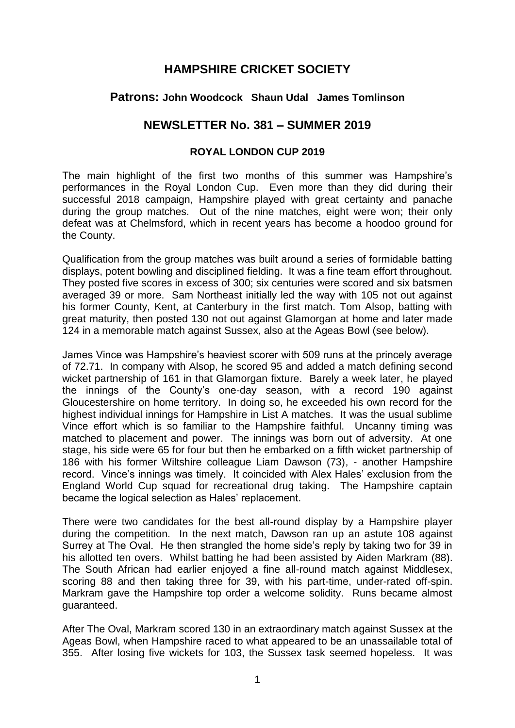# **HAMPSHIRE CRICKET SOCIETY**

## **Patrons: John Woodcock Shaun Udal James Tomlinson**

## **NEWSLETTER No. 381 – SUMMER 2019**

#### **ROYAL LONDON CUP 2019**

The main highlight of the first two months of this summer was Hampshire's performances in the Royal London Cup. Even more than they did during their successful 2018 campaign, Hampshire played with great certainty and panache during the group matches. Out of the nine matches, eight were won; their only defeat was at Chelmsford, which in recent years has become a hoodoo ground for the County.

Qualification from the group matches was built around a series of formidable batting displays, potent bowling and disciplined fielding. It was a fine team effort throughout. They posted five scores in excess of 300; six centuries were scored and six batsmen averaged 39 or more. Sam Northeast initially led the way with 105 not out against his former County, Kent, at Canterbury in the first match. Tom Alsop, batting with great maturity, then posted 130 not out against Glamorgan at home and later made 124 in a memorable match against Sussex, also at the Ageas Bowl (see below).

James Vince was Hampshire's heaviest scorer with 509 runs at the princely average of 72.71. In company with Alsop, he scored 95 and added a match defining second wicket partnership of 161 in that Glamorgan fixture. Barely a week later, he played the innings of the County's one-day season, with a record 190 against Gloucestershire on home territory. In doing so, he exceeded his own record for the highest individual innings for Hampshire in List A matches. It was the usual sublime Vince effort which is so familiar to the Hampshire faithful. Uncanny timing was matched to placement and power. The innings was born out of adversity. At one stage, his side were 65 for four but then he embarked on a fifth wicket partnership of 186 with his former Wiltshire colleague Liam Dawson (73), - another Hampshire record. Vince's innings was timely. It coincided with Alex Hales' exclusion from the England World Cup squad for recreational drug taking. The Hampshire captain became the logical selection as Hales' replacement.

There were two candidates for the best all-round display by a Hampshire player during the competition. In the next match, Dawson ran up an astute 108 against Surrey at The Oval. He then strangled the home side's reply by taking two for 39 in his allotted ten overs. Whilst batting he had been assisted by Aiden Markram (88). The South African had earlier enjoyed a fine all-round match against Middlesex, scoring 88 and then taking three for 39, with his part-time, under-rated off-spin. Markram gave the Hampshire top order a welcome solidity. Runs became almost guaranteed.

After The Oval, Markram scored 130 in an extraordinary match against Sussex at the Ageas Bowl, when Hampshire raced to what appeared to be an unassailable total of 355. After losing five wickets for 103, the Sussex task seemed hopeless. It was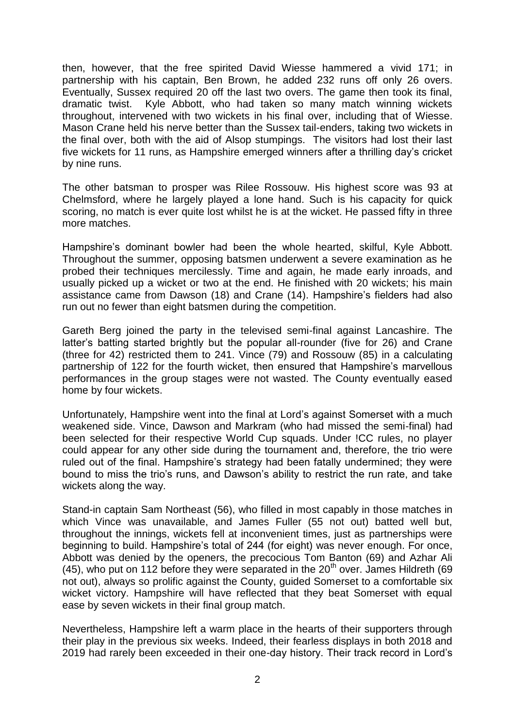then, however, that the free spirited David Wiesse hammered a vivid 171; in partnership with his captain, Ben Brown, he added 232 runs off only 26 overs. Eventually, Sussex required 20 off the last two overs. The game then took its final, dramatic twist. Kyle Abbott, who had taken so many match winning wickets throughout, intervened with two wickets in his final over, including that of Wiesse. Mason Crane held his nerve better than the Sussex tail-enders, taking two wickets in the final over, both with the aid of Alsop stumpings. The visitors had lost their last five wickets for 11 runs, as Hampshire emerged winners after a thrilling day's cricket by nine runs.

The other batsman to prosper was Rilee Rossouw. His highest score was 93 at Chelmsford, where he largely played a lone hand. Such is his capacity for quick scoring, no match is ever quite lost whilst he is at the wicket. He passed fifty in three more matches.

Hampshire's dominant bowler had been the whole hearted, skilful, Kyle Abbott. Throughout the summer, opposing batsmen underwent a severe examination as he probed their techniques mercilessly. Time and again, he made early inroads, and usually picked up a wicket or two at the end. He finished with 20 wickets; his main assistance came from Dawson (18) and Crane (14). Hampshire's fielders had also run out no fewer than eight batsmen during the competition.

Gareth Berg joined the party in the televised semi-final against Lancashire. The latter's batting started brightly but the popular all-rounder (five for 26) and Crane (three for 42) restricted them to 241. Vince (79) and Rossouw (85) in a calculating partnership of 122 for the fourth wicket, then ensured that Hampshire's marvellous performances in the group stages were not wasted. The County eventually eased home by four wickets.

Unfortunately, Hampshire went into the final at Lord's against Somerset with a much weakened side. Vince, Dawson and Markram (who had missed the semi-final) had been selected for their respective World Cup squads. Under !CC rules, no player could appear for any other side during the tournament and, therefore, the trio were ruled out of the final. Hampshire's strategy had been fatally undermined; they were bound to miss the trio's runs, and Dawson's ability to restrict the run rate, and take wickets along the way.

Stand-in captain Sam Northeast (56), who filled in most capably in those matches in which Vince was unavailable, and James Fuller (55 not out) batted well but, throughout the innings, wickets fell at inconvenient times, just as partnerships were beginning to build. Hampshire's total of 244 (for eight) was never enough. For once, Abbott was denied by the openers, the precocious Tom Banton (69) and Azhar Ali  $(45)$ , who put on 112 before they were separated in the 20<sup>th</sup> over. James Hildreth (69) not out), always so prolific against the County, guided Somerset to a comfortable six wicket victory. Hampshire will have reflected that they beat Somerset with equal ease by seven wickets in their final group match.

Nevertheless, Hampshire left a warm place in the hearts of their supporters through their play in the previous six weeks. Indeed, their fearless displays in both 2018 and 2019 had rarely been exceeded in their one-day history. Their track record in Lord's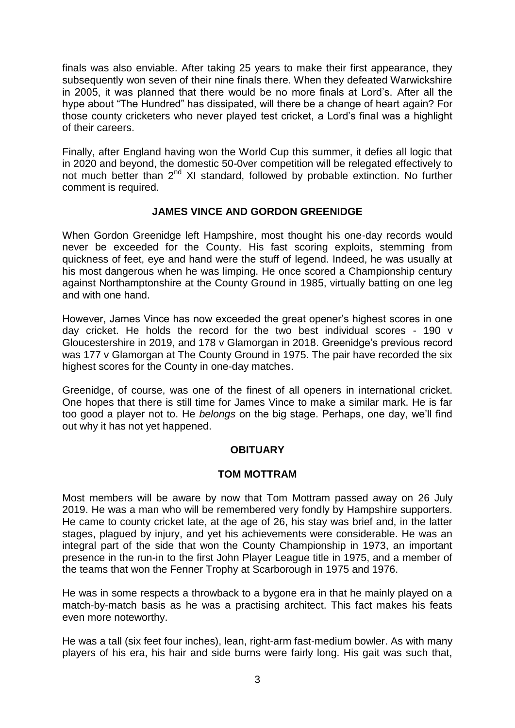finals was also enviable. After taking 25 years to make their first appearance, they subsequently won seven of their nine finals there. When they defeated Warwickshire in 2005, it was planned that there would be no more finals at Lord's. After all the hype about "The Hundred" has dissipated, will there be a change of heart again? For those county cricketers who never played test cricket, a Lord's final was a highlight of their careers.

Finally, after England having won the World Cup this summer, it defies all logic that in 2020 and beyond, the domestic 50-0ver competition will be relegated effectively to not much better than  $2^{nd}$  XI standard, followed by probable extinction. No further comment is required.

### **JAMES VINCE AND GORDON GREENIDGE**

When Gordon Greenidge left Hampshire, most thought his one-day records would never be exceeded for the County. His fast scoring exploits, stemming from quickness of feet, eye and hand were the stuff of legend. Indeed, he was usually at his most dangerous when he was limping. He once scored a Championship century against Northamptonshire at the County Ground in 1985, virtually batting on one leg and with one hand.

However, James Vince has now exceeded the great opener's highest scores in one day cricket. He holds the record for the two best individual scores - 190 v Gloucestershire in 2019, and 178 v Glamorgan in 2018. Greenidge's previous record was 177 v Glamorgan at The County Ground in 1975. The pair have recorded the six highest scores for the County in one-day matches.

Greenidge, of course, was one of the finest of all openers in international cricket. One hopes that there is still time for James Vince to make a similar mark. He is far too good a player not to. He *belongs* on the big stage. Perhaps, one day, we'll find out why it has not yet happened.

### **OBITUARY**

### **TOM MOTTRAM**

Most members will be aware by now that Tom Mottram passed away on 26 July 2019. He was a man who will be remembered very fondly by Hampshire supporters. He came to county cricket late, at the age of 26, his stay was brief and, in the latter stages, plagued by injury, and yet his achievements were considerable. He was an integral part of the side that won the County Championship in 1973, an important presence in the run-in to the first John Player League title in 1975, and a member of the teams that won the Fenner Trophy at Scarborough in 1975 and 1976.

He was in some respects a throwback to a bygone era in that he mainly played on a match-by-match basis as he was a practising architect. This fact makes his feats even more noteworthy.

He was a tall (six feet four inches), lean, right-arm fast-medium bowler. As with many players of his era, his hair and side burns were fairly long. His gait was such that,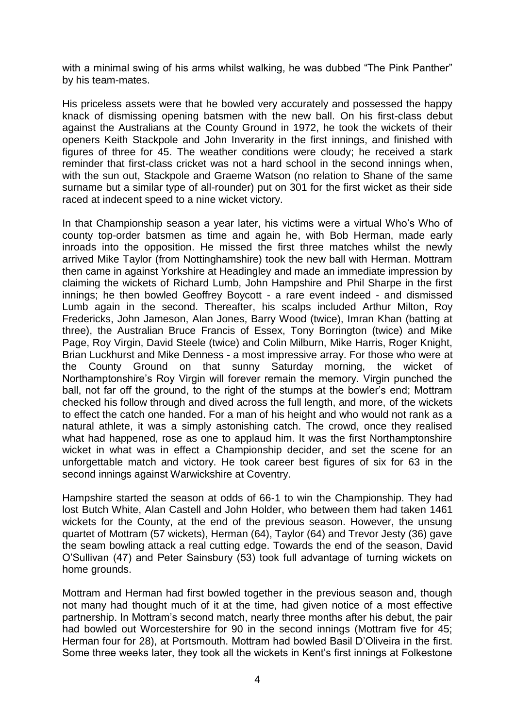with a minimal swing of his arms whilst walking, he was dubbed "The Pink Panther" by his team-mates.

His priceless assets were that he bowled very accurately and possessed the happy knack of dismissing opening batsmen with the new ball. On his first-class debut against the Australians at the County Ground in 1972, he took the wickets of their openers Keith Stackpole and John Inverarity in the first innings, and finished with figures of three for 45. The weather conditions were cloudy; he received a stark reminder that first-class cricket was not a hard school in the second innings when, with the sun out, Stackpole and Graeme Watson (no relation to Shane of the same surname but a similar type of all-rounder) put on 301 for the first wicket as their side raced at indecent speed to a nine wicket victory.

In that Championship season a year later, his victims were a virtual Who's Who of county top-order batsmen as time and again he, with Bob Herman, made early inroads into the opposition. He missed the first three matches whilst the newly arrived Mike Taylor (from Nottinghamshire) took the new ball with Herman. Mottram then came in against Yorkshire at Headingley and made an immediate impression by claiming the wickets of Richard Lumb, John Hampshire and Phil Sharpe in the first innings; he then bowled Geoffrey Boycott - a rare event indeed - and dismissed Lumb again in the second. Thereafter, his scalps included Arthur Milton, Roy Fredericks, John Jameson, Alan Jones, Barry Wood (twice), Imran Khan (batting at three), the Australian Bruce Francis of Essex, Tony Borrington (twice) and Mike Page, Roy Virgin, David Steele (twice) and Colin Milburn, Mike Harris, Roger Knight, Brian Luckhurst and Mike Denness - a most impressive array. For those who were at the County Ground on that sunny Saturday morning, the wicket of Northamptonshire's Roy Virgin will forever remain the memory. Virgin punched the ball, not far off the ground, to the right of the stumps at the bowler's end; Mottram checked his follow through and dived across the full length, and more, of the wickets to effect the catch one handed. For a man of his height and who would not rank as a natural athlete, it was a simply astonishing catch. The crowd, once they realised what had happened, rose as one to applaud him. It was the first Northamptonshire wicket in what was in effect a Championship decider, and set the scene for an unforgettable match and victory. He took career best figures of six for 63 in the second innings against Warwickshire at Coventry.

Hampshire started the season at odds of 66-1 to win the Championship. They had lost Butch White, Alan Castell and John Holder, who between them had taken 1461 wickets for the County, at the end of the previous season. However, the unsung quartet of Mottram (57 wickets), Herman (64), Taylor (64) and Trevor Jesty (36) gave the seam bowling attack a real cutting edge. Towards the end of the season, David O'Sullivan (47) and Peter Sainsbury (53) took full advantage of turning wickets on home grounds.

Mottram and Herman had first bowled together in the previous season and, though not many had thought much of it at the time, had given notice of a most effective partnership. In Mottram's second match, nearly three months after his debut, the pair had bowled out Worcestershire for 90 in the second innings (Mottram five for 45; Herman four for 28), at Portsmouth. Mottram had bowled Basil D'Oliveira in the first. Some three weeks later, they took all the wickets in Kent's first innings at Folkestone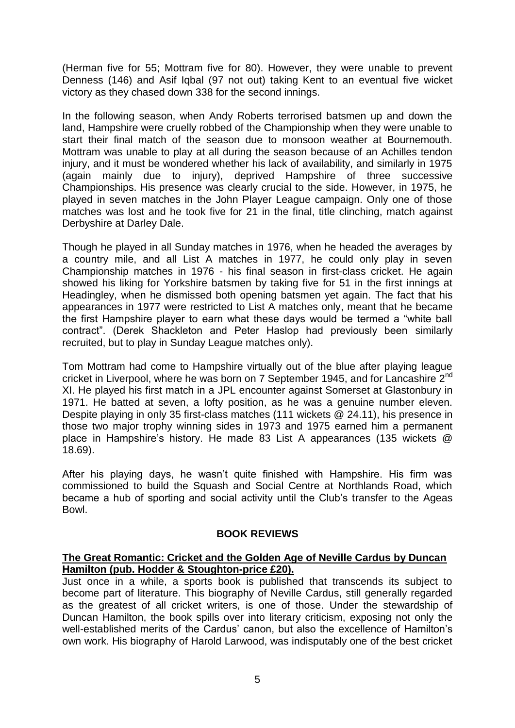(Herman five for 55; Mottram five for 80). However, they were unable to prevent Denness (146) and Asif Iqbal (97 not out) taking Kent to an eventual five wicket victory as they chased down 338 for the second innings.

In the following season, when Andy Roberts terrorised batsmen up and down the land, Hampshire were cruelly robbed of the Championship when they were unable to start their final match of the season due to monsoon weather at Bournemouth. Mottram was unable to play at all during the season because of an Achilles tendon injury, and it must be wondered whether his lack of availability, and similarly in 1975 (again mainly due to injury), deprived Hampshire of three successive Championships. His presence was clearly crucial to the side. However, in 1975, he played in seven matches in the John Player League campaign. Only one of those matches was lost and he took five for 21 in the final, title clinching, match against Derbyshire at Darley Dale.

Though he played in all Sunday matches in 1976, when he headed the averages by a country mile, and all List A matches in 1977, he could only play in seven Championship matches in 1976 - his final season in first-class cricket. He again showed his liking for Yorkshire batsmen by taking five for 51 in the first innings at Headingley, when he dismissed both opening batsmen yet again. The fact that his appearances in 1977 were restricted to List A matches only, meant that he became the first Hampshire player to earn what these days would be termed a "white ball contract". (Derek Shackleton and Peter Haslop had previously been similarly recruited, but to play in Sunday League matches only).

Tom Mottram had come to Hampshire virtually out of the blue after playing league cricket in Liverpool, where he was born on 7 September 1945, and for Lancashire 2<sup>nd</sup> XI. He played his first match in a JPL encounter against Somerset at Glastonbury in 1971. He batted at seven, a lofty position, as he was a genuine number eleven. Despite playing in only 35 first-class matches (111 wickets @ 24.11), his presence in those two major trophy winning sides in 1973 and 1975 earned him a permanent place in Hampshire's history. He made 83 List A appearances (135 wickets @ 18.69).

After his playing days, he wasn't quite finished with Hampshire. His firm was commissioned to build the Squash and Social Centre at Northlands Road, which became a hub of sporting and social activity until the Club's transfer to the Ageas Bowl.

### **BOOK REVIEWS**

#### **The Great Romantic: Cricket and the Golden Age of Neville Cardus by Duncan Hamilton (pub. Hodder & Stoughton-price £20).**

Just once in a while, a sports book is published that transcends its subject to become part of literature. This biography of Neville Cardus, still generally regarded as the greatest of all cricket writers, is one of those. Under the stewardship of Duncan Hamilton, the book spills over into literary criticism, exposing not only the well-established merits of the Cardus' canon, but also the excellence of Hamilton's own work. His biography of Harold Larwood, was indisputably one of the best cricket